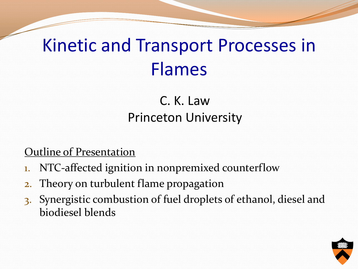#### Kinetic and Transport Processes in Flames

C. K. Law Princeton University

#### Outline of Presentation

- 1. NTC-affected ignition in nonpremixed counterflow
- 2. Theory on turbulent flame propagation
- 3. Synergistic combustion of fuel droplets of ethanol, diesel and biodiesel blends

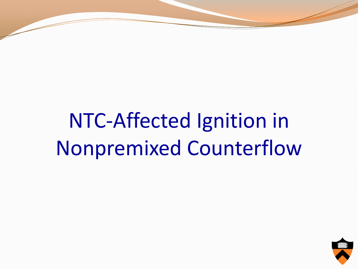NTC-Affected Ignition in Nonpremixed Counterflow

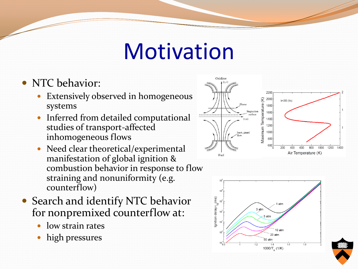### **Motivation**

- NTC behavior:
	- Extensively observed in homogeneous systems
	- Inferred from detailed computational studies of transport-affected inhomogeneous flows
	- Need clear theoretical/experimental manifestation of global ignition & combustion behavior in response to flow straining and nonuniformity (e.g. counterflow)
- Search and identify NTC behavior for nonpremixed counterflow at:
	- low strain rates
	- high pressures



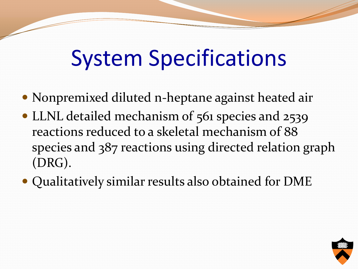# System Specifications

- Nonpremixed diluted n-heptane against heated air
- LLNL detailed mechanism of 561 species and 2539 reactions reduced to a skeletal mechanism of 88 species and 387 reactions using directed relation graph (DRG).
- Qualitatively similar results also obtained for DME

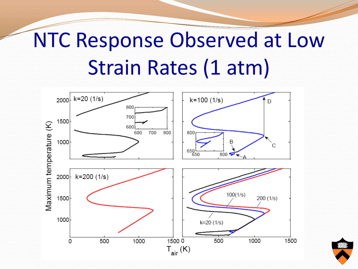## NTC Response Observed at Low Strain Rates (1 atm)

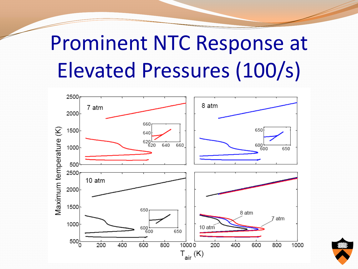## Prominent NTC Response at Elevated Pressures (100/s)



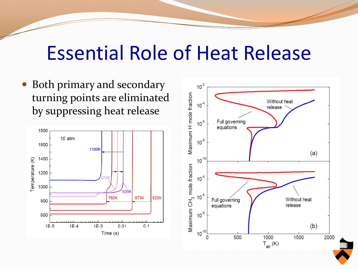#### Essential Role of Heat Release

• Both primary and secondary turning points are eliminated by suppressing heat release



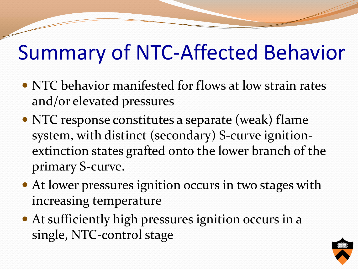#### Summary of NTC-Affected Behavior

- NTC behavior manifested for flows at low strain rates and/or elevated pressures
- NTC response constitutes a separate (weak) flame system, with distinct (secondary) S-curve ignitionextinction states grafted onto the lower branch of the primary S-curve.
- At lower pressures ignition occurs in two stages with increasing temperature
- At sufficiently high pressures ignition occurs in a single, NTC-control stage

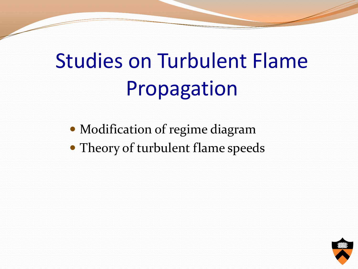# Studies on Turbulent Flame Propagation

- Modification of regime diagram
- Theory of turbulent flame speeds

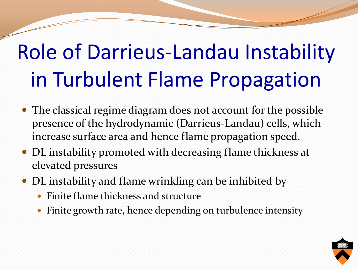# Role of Darrieus-Landau Instability in Turbulent Flame Propagation

- The classical regime diagram does not account for the possible presence of the hydrodynamic (Darrieus-Landau) cells, which increase surface area and hence flame propagation speed.
- DL instability promoted with decreasing flame thickness at elevated pressures
- DL instability and flame wrinkling can be inhibited by
	- Finite flame thickness and structure
	- Finite growth rate, hence depending on turbulence intensity

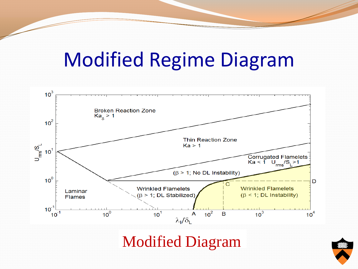#### Modified Regime Diagram

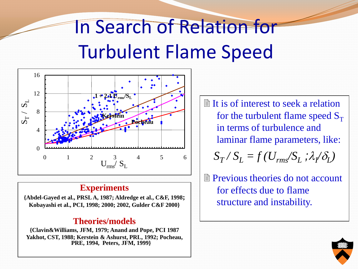### In Search of Relation for Turbulent Flame Speed



#### **Experiments**

**{Abdel-Gayed et al., PRSL A, 1987; Aldredge et al., C&F, 1998; Kobayashi et al., PCI, 1998; 2000; 2002, Gulder C&F 2000}**

#### **Theories/models**

**{Clavin&Williams, JFM, 1979; Anand and Pope, PCI 1987 Yakhot, CST, 1988; Kerstein & Ashurst, PRL, 1992; Pocheau, PRE, 1994, Peters, JFM, 1999}**

 $\mathbb{R}$  It is of interest to seek a relation for the turbulent flame speed  $S_T$ in terms of turbulence and laminar flame parameters, like:  $S_T$  /  $S_L$  = *f* ( $U_{rms}$ / $S_L$ ; $\lambda$ / $\delta_L$ )

 $\parallel$  Previous theories do not account for effects due to flame structure and instability.

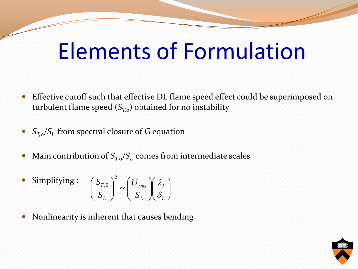### Elements of Formulation

- Effective cutoff such that effective DL flame speed effect could be superimposed on turbulent flame speed  $(S_{T,0})$  obtained for no instability
- *ST,0/S<sup>L</sup>* from spectral closure of G equation
- Main contribution of  $S_{T,o}/S_L$  comes from intermediate scales

• Simplifying: 
$$
\left(\frac{S_{T,0}}{S_L}\right)^2 \sim \left(\frac{U_{rms}}{S_L}\right)\left(\frac{\lambda_I}{\delta_L}\right)
$$

Nonlinearity is inherent that causes bending

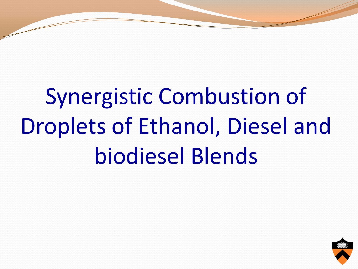# Synergistic Combustion of Droplets of Ethanol, Diesel and biodiesel Blends

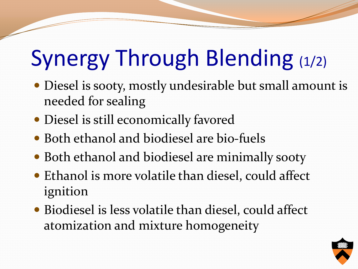# Synergy Through Blending (1/2)

- Diesel is sooty, mostly undesirable but small amount is needed for sealing
- Diesel is still economically favored
- Both ethanol and biodiesel are bio-fuels
- Both ethanol and biodiesel are minimally sooty
- Ethanol is more volatile than diesel, could affect ignition
- Biodiesel is less volatile than diesel, could affect atomization and mixture homogeneity

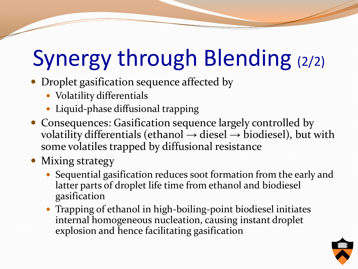# Synergy through Blending (2/2)

- Droplet gasification sequence affected by
	- Volatility differentials
	- Liquid-phase diffusional trapping
- Consequences: Gasification sequence largely controlled by volatility differentials (ethanol  $\rightarrow$  diesel  $\rightarrow$  biodiesel), but with some volatiles trapped by diffusional resistance
- Mixing strategy
	- Sequential gasification reduces soot formation from the early and latter parts of droplet life time from ethanol and biodiesel gasification
	- Trapping of ethanol in high-boiling-point biodiesel initiates internal homogeneous nucleation, causing instant droplet explosion and hence facilitating gasification

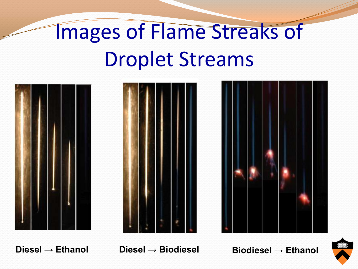# Images of Flame Streaks of Droplet Streams







**Diesel → Ethanol Diesel → Biodiesel Biodiesel → Ethanol**